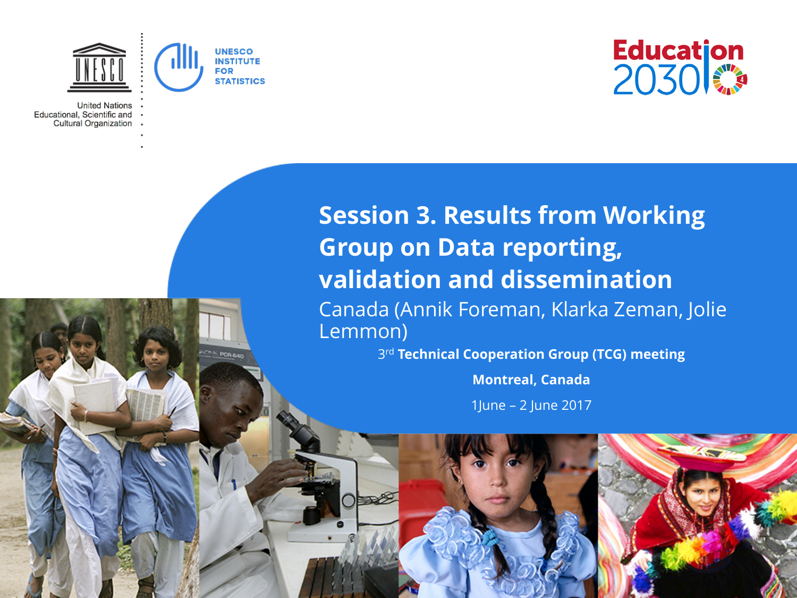

**E PCR 640** 

**United Nations** Educational, Scientific and Cultural Organization



**Session 3. Results from Working Group on Data reporting, validation and dissemination** Canada (Annik Foreman, Klarka Zeman, Jolie Lemmon)

3rd **Technical Cooperation Group (TCG) meeting**

**Montreal, Canada**

1June – 2 June 2017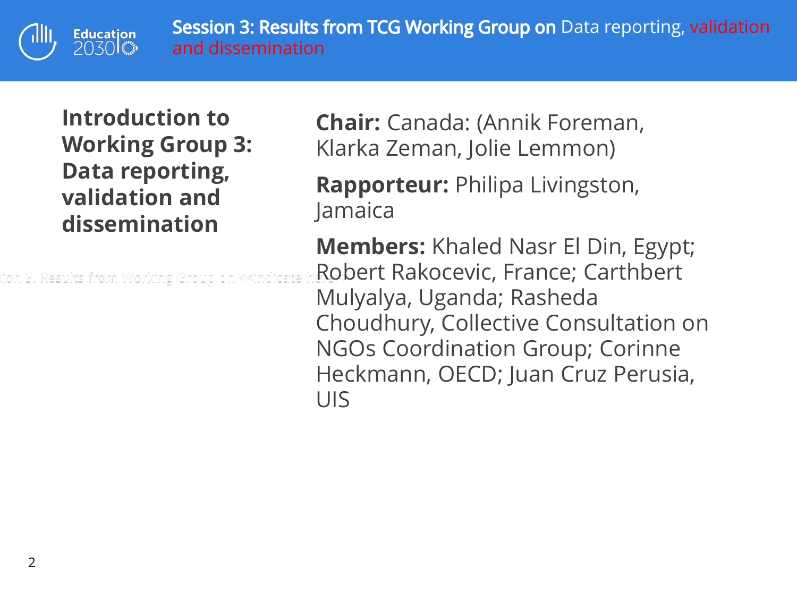s. Results from TCG Working Group on Data reporting, Van Data reporting, validation and dissemination

**Introduction to Working Group 3: Data reporting, validation and dissemination**

Education<br>2030

ion 3. Results from Working Group on «indicate

**Chair:** Canada: (Annik Foreman, Klarka Zeman, Jolie Lemmon)

**Rapporteur:** Philipa Livingston, Jamaica

**Members:** Khaled Nasr El Din, Egypt; Robert Rakocevic, France; Carthbert Mulyalya, Uganda; Rasheda Choudhury, Collective Consultation on NGOs Coordination Group; Corinne Heckmann, OECD; Juan Cruz Perusia, UIS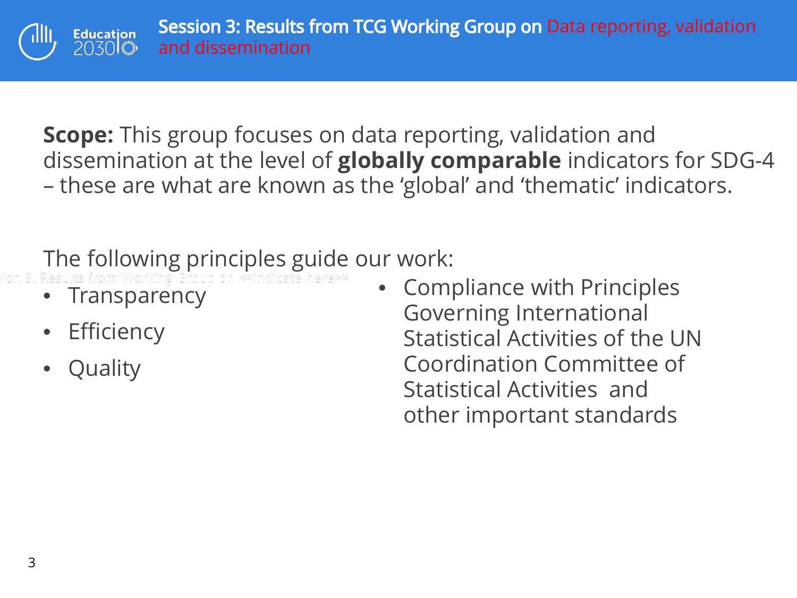**Scope:** This group focuses on data reporting, validation and dissemination at the level of **globally comparable** indicators for SDG-4 – these are what are known as the 'global' and 'thematic' indicators.

## The following principles guide our work:

- **Transparency**
- **Efficiency**
- **Quality**

• Compliance with Principles Governing International Statistical Activities of the UN Coordination Committee of Statistical Activities and other important standards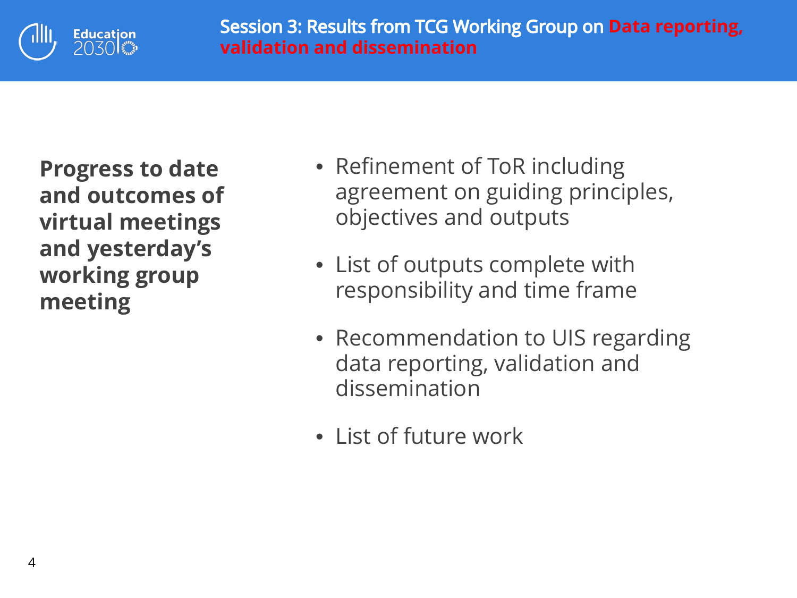

**Progress to date and outcomes of virtual meetings and yesterday's working group meeting**

- Refinement of ToR including agreement on guiding principles, objectives and outputs
- List of outputs complete with responsibility and time frame
- Recommendation to UIS regarding data reporting, validation and dissemination
- List of future work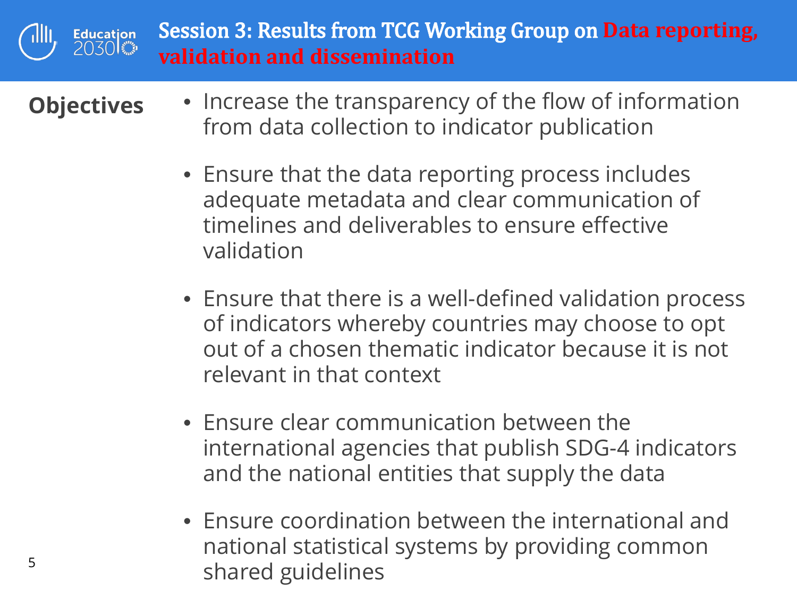

- **Objectives**  Increase the transparency of the flow of information from data collection to indicator publication
	- Ensure that the data reporting process includes adequate metadata and clear communication of timelines and deliverables to ensure effective validation
	- Ensure that there is a well-defined validation process of indicators whereby countries may choose to opt out of a chosen thematic indicator because it is not relevant in that context
	- Ensure clear communication between the international agencies that publish SDG-4 indicators and the national entities that supply the data
	- Ensure coordination between the international and national statistical systems by providing common shared guidelines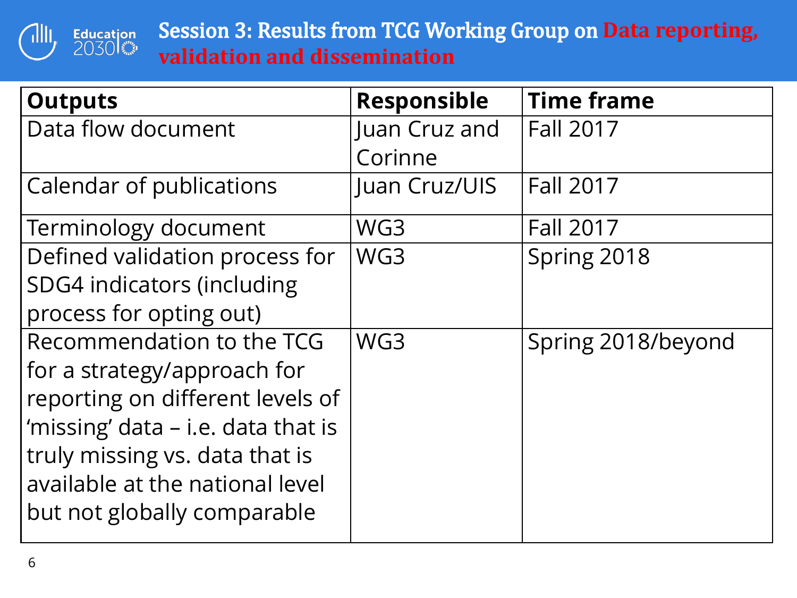

| <b>Outputs</b>                     | <b>Responsible</b> | <b>Time frame</b>  |
|------------------------------------|--------------------|--------------------|
| Data flow document                 | Juan Cruz and      | <b>Fall 2017</b>   |
|                                    | Corinne            |                    |
| Calendar of publications           | Juan Cruz/UIS      | <b>Fall 2017</b>   |
| Terminology document               | WG3                | <b>Fall 2017</b>   |
| Defined validation process for     | WG3                | Spring 2018        |
| <b>SDG4</b> indicators (including  |                    |                    |
| process for opting out)            |                    |                    |
| Recommendation to the TCG          | WG3                | Spring 2018/beyond |
| for a strategy/approach for        |                    |                    |
| reporting on different levels of   |                    |                    |
| 'missing' data – i.e. data that is |                    |                    |
| truly missing vs. data that is     |                    |                    |
| available at the national level    |                    |                    |
| but not globally comparable        |                    |                    |
|                                    |                    |                    |

 $\sqrt{1}$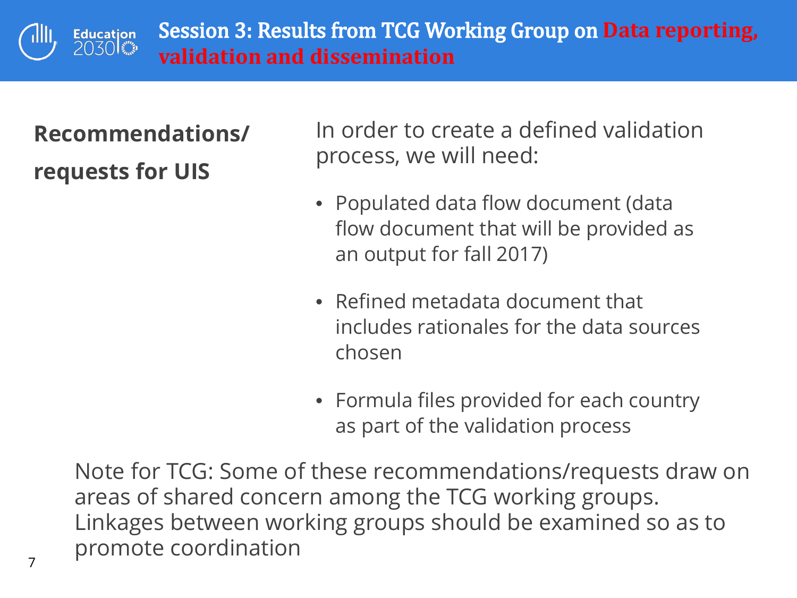

## **Recommendations/ requests for UIS**

In order to create a defined validation process, we will need:

- Populated data flow document (data flow document that will be provided as an output for fall 2017)
- Refined metadata document that includes rationales for the data sources chosen
- Formula files provided for each country as part of the validation process

Note for TCG: Some of these recommendations/requests draw on areas of shared concern among the TCG working groups. Linkages between working groups should be examined so as to promote coordination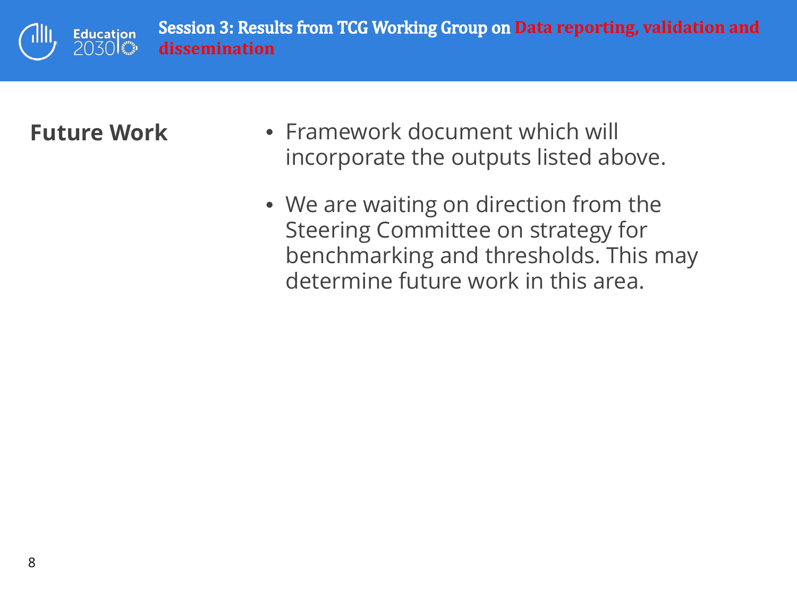Results from TCG Working Group on **Data reporting, validation and**<br>.. **Education** 2030 卷 **dissemination**

- **Future Work Framework document which will** incorporate the outputs listed above.
	- We are waiting on direction from the Steering Committee on strategy for benchmarking and thresholds. This may determine future work in this area.